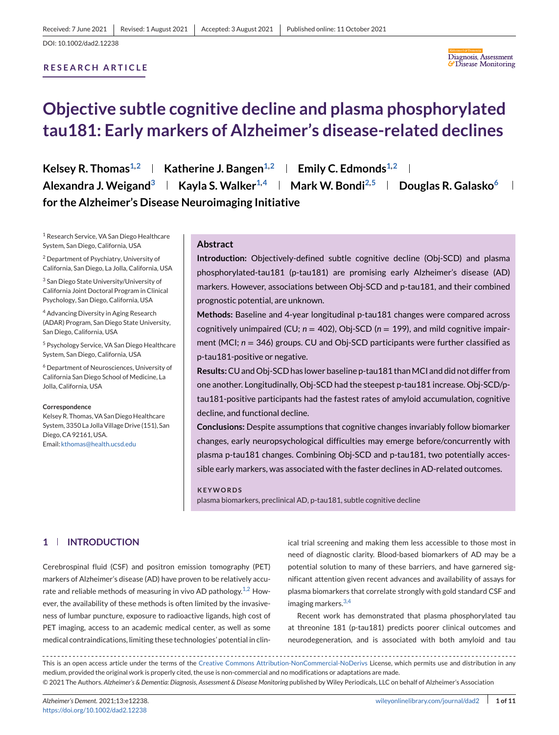# **RESEARCH ARTICLE**



# **Objective subtle cognitive decline and plasma phosphorylated tau181: Early markers of Alzheimer's disease-related declines**

**Kelsey R. Thomas**<sup>1,2</sup> | Katherine J. Bangen<sup>1,2</sup> | Emily C. Edmonds<sup>1,2</sup> | **Alexandra J. Weigand3 Kayla S. Walker1,4 Mark W. Bondi2,5 Douglas R. Galasko6**  $\overline{\phantom{0}}$ **for the Alzheimer's Disease Neuroimaging Initiative**

<sup>1</sup> Research Service, VA San Diego Healthcare System, San Diego, California, USA

<sup>2</sup> Department of Psychiatry, University of California, San Diego, La Jolla, California, USA

<sup>3</sup> San Diego State University/University of California Joint Doctoral Program in Clinical Psychology, San Diego, California, USA

<sup>4</sup> Advancing Diversity in Aging Research (ADAR) Program, San Diego State University, San Diego, California, USA

<sup>5</sup> Psychology Service, VA San Diego Healthcare System, San Diego, California, USA

<sup>6</sup> Department of Neurosciences, University of California San Diego School of Medicine, La Jolla, California, USA

#### **Correspondence**

Kelsey R. Thomas, VA San Diego Healthcare System, 3350 La Jolla Village Drive (151), San Diego, CA 92161, USA. Email: [kthomas@health.ucsd.edu](mailto:kthomas@health.ucsd.edu)

# **Abstract**

**Introduction:** Objectively-defined subtle cognitive decline (Obj-SCD) and plasma phosphorylated-tau181 (p-tau181) are promising early Alzheimer's disease (AD) markers. However, associations between Obj-SCD and p-tau181, and their combined prognostic potential, are unknown.

**Methods:** Baseline and 4-year longitudinal p-tau181 changes were compared across cognitively unimpaired (CU;  $n = 402$ ), Obj-SCD ( $n = 199$ ), and mild cognitive impairment (MCI; *n* = 346) groups. CU and Obj-SCD participants were further classified as p-tau181-positive or negative.

**Results:**CU and Obj-SCD has lower baseline p-tau181 thanMCI and did not differ from one another. Longitudinally, Obj-SCD had the steepest p-tau181 increase. Obj-SCD/ptau181-positive participants had the fastest rates of amyloid accumulation, cognitive decline, and functional decline.

**Conclusions:** Despite assumptions that cognitive changes invariably follow biomarker changes, early neuropsychological difficulties may emerge before/concurrently with plasma p-tau181 changes. Combining Obj-SCD and p-tau181, two potentially accessible early markers, was associated with the faster declines in AD-related outcomes.

**KEYWORDS** plasma biomarkers, preclinical AD, p-tau181, subtle cognitive decline

# **1 INTRODUCTION**

Cerebrospinal fluid (CSF) and positron emission tomography (PET) markers of Alzheimer's disease (AD) have proven to be relatively accu-rate and reliable methods of measuring in vivo AD pathology.<sup>[1,2](#page-9-0)</sup> However, the availability of these methods is often limited by the invasiveness of lumbar puncture, exposure to radioactive ligands, high cost of PET imaging, access to an academic medical center, as well as some medical contraindications, limiting these technologies' potential in clin-

ical trial screening and making them less accessible to those most in need of diagnostic clarity. Blood-based biomarkers of AD may be a potential solution to many of these barriers, and have garnered significant attention given recent advances and availability of assays for plasma biomarkers that correlate strongly with gold standard CSF and imaging markers.<sup>[3,4](#page-9-0)</sup>

Recent work has demonstrated that plasma phosphorylated tau at threonine 181 (p-tau181) predicts poorer clinical outcomes and neurodegeneration, and is associated with both amyloid and tau

This is an open access article under the terms of the [Creative Commons Attribution-NonCommercial-NoDerivs](http://creativecommons.org/licenses/by-nc-nd/4.0/) License, which permits use and distribution in any medium, provided the original work is properly cited, the use is non-commercial and no modifications or adaptations are made. © 2021 The Authors. *Alzheimer's & Dementia: Diagnosis, Assessment & Disease Monitoring* published by Wiley Periodicals, LLC on behalf of Alzheimer's Association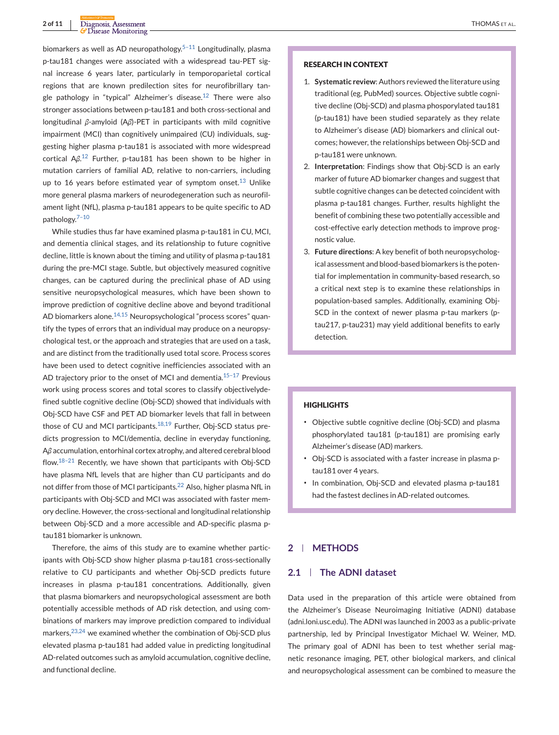# **2 of 11** Diagnosis, Assessment THOMAS ET AL.

biomarkers as well as AD neuropathology.<sup>5-11</sup> Longitudinally, plasma p-tau181 changes were associated with a widespread tau-PET signal increase 6 years later, particularly in temporoparietal cortical regions that are known predilection sites for neurofibrillary tan-gle pathology in "typical" Alzheimer's disease.<sup>[12](#page-9-0)</sup> There were also stronger associations between p-tau181 and both cross-sectional and longitudinal *β*-amyloid (A*β*)-PET in participants with mild cognitive impairment (MCI) than cognitively unimpaired (CU) individuals, suggesting higher plasma p-tau181 is associated with more widespread cortical A*β*. [12](#page-9-0) Further, p-tau181 has been shown to be higher in mutation carriers of familial AD, relative to non-carriers, including up to 16 years before estimated year of symptom onset.<sup>[13](#page-9-0)</sup> Unlike more general plasma markers of neurodegeneration such as neurofilament light (NfL), plasma p-tau181 appears to be quite specific to AD pathology.[7–10](#page-9-0)

While studies thus far have examined plasma p-tau181 in CU, MCI, and dementia clinical stages, and its relationship to future cognitive decline, little is known about the timing and utility of plasma p-tau181 during the pre-MCI stage. Subtle, but objectively measured cognitive changes, can be captured during the preclinical phase of AD using sensitive neuropsychological measures, which have been shown to improve prediction of cognitive decline above and beyond traditional AD biomarkers alone.<sup>[14,15](#page-9-0)</sup> Neuropsychological "process scores" quantify the types of errors that an individual may produce on a neuropsychological test, or the approach and strategies that are used on a task, and are distinct from the traditionally used total score. Process scores have been used to detect cognitive inefficiencies associated with an AD trajectory prior to the onset of MCI and dementia.<sup>15-17</sup> Previous work using process scores and total scores to classify objectivelydefined subtle cognitive decline (Obj-SCD) showed that individuals with Obj-SCD have CSF and PET AD biomarker levels that fall in between those of CU and MCI participants. $18,19$  Further, Obj-SCD status predicts progression to MCI/dementia, decline in everyday functioning, A*β* accumulation, entorhinal cortex atrophy, and altered cerebral blood flow. $18-21$  Recently, we have shown that participants with Obj-SCD have plasma NfL levels that are higher than CU participants and do not differ from those of MCI participants.<sup>[22](#page-9-0)</sup> Also, higher plasma NfL in participants with Obj-SCD and MCI was associated with faster memory decline. However, the cross-sectional and longitudinal relationship between Obj-SCD and a more accessible and AD-specific plasma ptau181 biomarker is unknown.

Therefore, the aims of this study are to examine whether participants with Obj-SCD show higher plasma p-tau181 cross-sectionally relative to CU participants and whether Obj-SCD predicts future increases in plasma p-tau181 concentrations. Additionally, given that plasma biomarkers and neuropsychological assessment are both potentially accessible methods of AD risk detection, and using combinations of markers may improve prediction compared to individual markers,<sup>[23,24](#page-9-0)</sup> we examined whether the combination of Obj-SCD plus elevated plasma p-tau181 had added value in predicting longitudinal AD-related outcomes such as amyloid accumulation, cognitive decline, and functional decline.

#### **RESEARCH IN CONTEXT**

- 1. **Systematic review**: Authors reviewed the literature using traditional (eg, PubMed) sources. Objective subtle cognitive decline (Obj-SCD) and plasma phosporylated tau181 (p-tau181) have been studied separately as they relate to Alzheimer's disease (AD) biomarkers and clinical outcomes; however, the relationships between Obj-SCD and p-tau181 were unknown.
- 2. **Interpretation**: Findings show that Obj-SCD is an early marker of future AD biomarker changes and suggest that subtle cognitive changes can be detected coincident with plasma p-tau181 changes. Further, results highlight the benefit of combining these two potentially accessible and cost-effective early detection methods to improve prognostic value.
- 3. **Future directions**: A key benefit of both neuropsychological assessment and blood-based biomarkers is the potential for implementation in community-based research, so a critical next step is to examine these relationships in population-based samples. Additionally, examining Obj-SCD in the context of newer plasma p-tau markers (ptau217, p-tau231) may yield additional benefits to early detection.

#### **HIGHLIGHTS**

- ∙ Objective subtle cognitive decline (Obj-SCD) and plasma phosphorylated tau181 (p-tau181) are promising early Alzheimer's disease (AD) markers.
- ∙ Obj-SCD is associated with a faster increase in plasma ptau181 over 4 years.
- ∙ In combination, Obj-SCD and elevated plasma p-tau181 had the fastest declines in AD-related outcomes.

# **2 METHODS**

#### **2.1 The ADNI dataset**

Data used in the preparation of this article were obtained from the Alzheimer's Disease Neuroimaging Initiative (ADNI) database (adni.loni.usc.edu). The ADNI was launched in 2003 as a public-private partnership, led by Principal Investigator Michael W. Weiner, MD. The primary goal of ADNI has been to test whether serial magnetic resonance imaging, PET, other biological markers, and clinical and neuropsychological assessment can be combined to measure the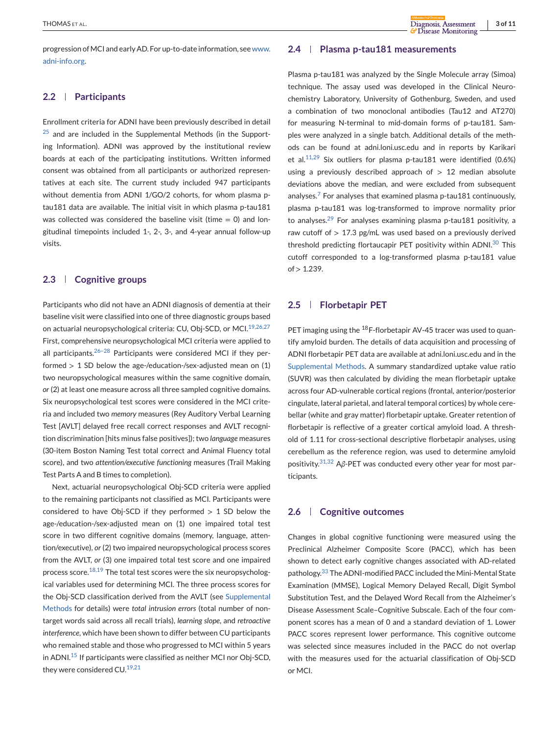progression of MCI and early AD. For up-to-date information, see [www.](http://www.adni-info.org) [adni-info.org.](http://www.adni-info.org)

#### **2.2 Participants**

Enrollment criteria for ADNI have been previously described in detail  $25$  and are included in the Supplemental Methods (in the Supporting Information). ADNI was approved by the institutional review boards at each of the participating institutions. Written informed consent was obtained from all participants or authorized representatives at each site. The current study included 947 participants without dementia from ADNI 1/GO/2 cohorts, for whom plasma ptau181 data are available. The initial visit in which plasma p-tau181 was collected was considered the baseline visit (time  $= 0$ ) and longitudinal timepoints included 1-, 2-, 3-, and 4-year annual follow-up visits.

#### **2.3 Cognitive groups**

Participants who did not have an ADNI diagnosis of dementia at their baseline visit were classified into one of three diagnostic groups based on actuarial neuropsychological criteria: CU, Obj-SCD, or MCI.<sup>[19,26,27](#page-9-0)</sup> First, comprehensive neuropsychological MCI criteria were applied to all participants. $26-28$  Participants were considered MCI if they performed  $> 1$  SD below the age-/education-/sex-adjusted mean on (1) two neuropsychological measures within the same cognitive domain, *or* (2) at least one measure across all three sampled cognitive domains. Six neuropsychological test scores were considered in the MCI criteria and included two *memory* measures (Rey Auditory Verbal Learning Test [AVLT] delayed free recall correct responses and AVLT recognition discrimination [hits minus false positives]); two *language* measures (30-item Boston Naming Test total correct and Animal Fluency total score), and two *attention/executive functioning* measures (Trail Making Test Parts A and B times to completion).

Next, actuarial neuropsychological Obj-SCD criteria were applied to the remaining participants not classified as MCI. Participants were considered to have Obj-SCD if they performed  $> 1$  SD below the age-/education-/sex-adjusted mean on (1) one impaired total test score in two different cognitive domains (memory, language, attention/executive), *or* (2) two impaired neuropsychological process scores from the AVLT, *or* (3) one impaired total test score and one impaired process score. $18,19$  The total test scores were the six neuropsychological variables used for determining MCI. The three process scores for the Obj-SCD classification derived from the AVLT (see Supplemental Methods for details) were *total intrusion errors* (total number of nontarget words said across all recall trials), *learning slope*, and *retroactive interference*, which have been shown to differ between CU participants who remained stable and those who progressed to MCI within 5 years in ADNI.[15](#page-9-0) If participants were classified as neither MCI nor Obj-SCD, they were considered CU.<sup>[19,21](#page-9-0)</sup>

#### **2.4 Plasma p-tau181 measurements**

Plasma p-tau181 was analyzed by the Single Molecule array (Simoa) technique. The assay used was developed in the Clinical Neurochemistry Laboratory, University of Gothenburg, Sweden, and used a combination of two monoclonal antibodies (Tau12 and AT270) for measuring N-terminal to mid-domain forms of p-tau181. Samples were analyzed in a single batch. Additional details of the methods can be found at adni.loni.usc.edu and in reports by Karikari et al. $11,29$  Six outliers for plasma p-tau181 were identified (0.6%) using a previously described approach of  $> 12$  median absolute deviations above the median, and were excluded from subsequent analyses.<sup>[7](#page-9-0)</sup> For analyses that examined plasma p-tau181 continuously, plasma p-tau181 was log-transformed to improve normality prior to analyses. $29$  For analyses examining plasma p-tau181 positivity, a raw cutoff of  $> 17.3$  pg/mL was used based on a previously derived threshold predicting flortaucapir PET positivity within ADNI.<sup>[30](#page-10-0)</sup> This cutoff corresponded to a log-transformed plasma p-tau181 value  $of > 1.239$ .

#### **2.5 Florbetapir PET**

PET imaging using the <sup>18</sup>F-florbetapir AV-45 tracer was used to quantify amyloid burden. The details of data acquisition and processing of ADNI florbetapir PET data are available at adni.loni.usc.edu and in the Supplemental Methods. A summary standardized uptake value ratio (SUVR) was then calculated by dividing the mean florbetapir uptake across four AD-vulnerable cortical regions (frontal, anterior/posterior cingulate, lateral parietal, and lateral temporal cortices) by whole cerebellar (white and gray matter) florbetapir uptake. Greater retention of florbetapir is reflective of a greater cortical amyloid load. A threshold of 1.11 for cross-sectional descriptive florbetapir analyses, using cerebellum as the reference region, was used to determine amyloid positivity.[31,32](#page-10-0) A*β*-PET was conducted every other year for most participants.

#### **2.6 Cognitive outcomes**

Changes in global cognitive functioning were measured using the Preclinical Alzheimer Composite Score (PACC), which has been shown to detect early cognitive changes associated with AD-related pathology.[33](#page-10-0) The ADNI-modified PACC included the Mini-Mental State Examination (MMSE), Logical Memory Delayed Recall, Digit Symbol Substitution Test, and the Delayed Word Recall from the Alzheimer's Disease Assessment Scale–Cognitive Subscale. Each of the four component scores has a mean of 0 and a standard deviation of 1. Lower PACC scores represent lower performance. This cognitive outcome was selected since measures included in the PACC do not overlap with the measures used for the actuarial classification of Obj-SCD or MCI.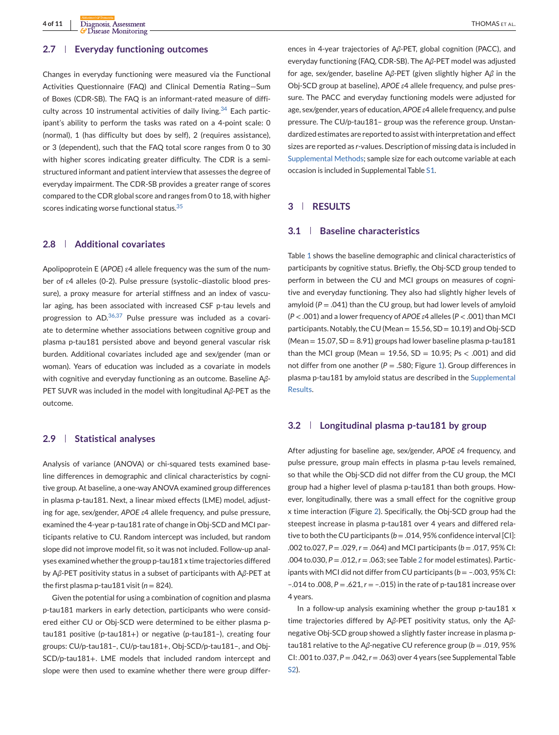#### **2.7 Everyday functioning outcomes**

Changes in everyday functioning were measured via the Functional Activities Questionnaire (FAQ) and Clinical Dementia Rating—Sum of Boxes (CDR-SB). The FAQ is an informant-rated measure of difficulty across 10 instrumental activities of daily living. $34$  Each participant's ability to perform the tasks was rated on a 4-point scale: 0 (normal), 1 (has difficulty but does by self), 2 (requires assistance), or 3 (dependent), such that the FAQ total score ranges from 0 to 30 with higher scores indicating greater difficulty. The CDR is a semistructured informant and patient interview that assesses the degree of everyday impairment. The CDR-SB provides a greater range of scores compared to the CDR global score and ranges from 0 to 18, with higher scores indicating worse functional status.<sup>[35](#page-10-0)</sup>

#### **2.8 Additional covariates**

Apolipoprotein E (*APOE*) ɛ4 allele frequency was the sum of the number of ɛ4 alleles (0-2). Pulse pressure (systolic–diastolic blood pressure), a proxy measure for arterial stiffness and an index of vascular aging, has been associated with increased CSF p-tau levels and progression to AD.[36,37](#page-10-0) Pulse pressure was included as a covariate to determine whether associations between cognitive group and plasma p-tau181 persisted above and beyond general vascular risk burden. Additional covariates included age and sex/gender (man or woman). Years of education was included as a covariate in models with cognitive and everyday functioning as an outcome. Baseline A*β*-PET SUVR was included in the model with longitudinal A*β*-PET as the outcome.

#### **2.9 Statistical analyses**

Analysis of variance (ANOVA) or chi-squared tests examined baseline differences in demographic and clinical characteristics by cognitive group. At baseline, a one-way ANOVA examined group differences in plasma p-tau181. Next, a linear mixed effects (LME) model, adjusting for age, sex/gender, *APOE ε*4 allele frequency, and pulse pressure, examined the 4-year p-tau181 rate of change in Obj-SCD and MCI participants relative to CU. Random intercept was included, but random slope did not improve model fit, so it was not included. Follow-up analyses examined whether the group p-tau181 x time trajectories differed by A*β*-PET positivity status in a subset of participants with A*β*-PET at the first plasma p-tau181 visit ( $n = 824$ ).

Given the potential for using a combination of cognition and plasma p-tau181 markers in early detection, participants who were considered either CU or Obj-SCD were determined to be either plasma ptau181 positive (p-tau181+) or negative (p-tau181–), creating four groups: CU/p-tau181–, CU/p-tau181+, Obj-SCD/p-tau181–, and Obj-SCD/p-tau181+. LME models that included random intercept and slope were then used to examine whether there were group differences in 4-year trajectories of A*β*-PET, global cognition (PACC), and everyday functioning (FAQ, CDR-SB). The A*β*-PET model was adjusted for age, sex/gender, baseline A*β*-PET (given slightly higher A*β* in the Obj-SCD group at baseline), *APOE ε*4 allele frequency, and pulse pressure. The PACC and everyday functioning models were adjusted for age, sex/gender, years of education, *APOE ε*4 allele frequency, and pulse pressure. The CU/p-tau181– group was the reference group. Unstandardized estimates are reported to assist with interpretation and effect sizes are reported as *r*-values. Description of missing data is included in Supplemental Methods; sample size for each outcome variable at each occasion is included in Supplemental Table S1.

# **3 RESULTS**

## **3.1 Baseline characteristics**

Table [1](#page-4-0) shows the baseline demographic and clinical characteristics of participants by cognitive status. Briefly, the Obj-SCD group tended to perform in between the CU and MCI groups on measures of cognitive and everyday functioning. They also had slightly higher levels of amyloid  $(P = .041)$  than the CU group, but had lower levels of amyloid (*P* < .001) and a lower frequency of *APOE ε*4 alleles (*P* < .001) than MCI participants. Notably, the CU (Mean = 15.56, SD = 10.19) and Obj-SCD  $(Mean = 15.07, SD = 8.91)$  groups had lower baseline plasma p-tau181 than the MCI group (Mean = 19.56, SD = 10.95; *P*s < .001) and did not differ from one another ( $P = .580$ ; Figure [1\)](#page-5-0). Group differences in plasma p-tau181 by amyloid status are described in the Supplemental Results.

#### **3.2 Longitudinal plasma p-tau181 by group**

After adjusting for baseline age, sex/gender, *APOE ε*4 frequency, and pulse pressure, group main effects in plasma p-tau levels remained, so that while the Obj-SCD did not differ from the CU group, the MCI group had a higher level of plasma p-tau181 than both groups. However, longitudinally, there was a small effect for the cognitive group x time interaction (Figure [2\)](#page-5-0). Specifically, the Obj-SCD group had the steepest increase in plasma p-tau181 over 4 years and differed relative to both the CU participants ( $b = .014, 95\%$  confidence interval [CI]: .002 to.027, *P* = .029, *r* = .064) and MCI participants (*b* = .017, 95% CI: .004 to.030, *P* = .012, *r* = .063; see Table [2](#page-5-0) for model estimates). Participants with MCI did not differ from CU participants ( $b = -0.003$ , 95% CI: –.014 to .008, *P* = .621, *r* = –.015) in the rate of p-tau181 increase over 4 years.

In a follow-up analysis examining whether the group p-tau181 x time trajectories differed by A*β*-PET positivity status, only the A*β*negative Obj-SCD group showed a slightly faster increase in plasma ptau181 relative to the A*β*-negative CU reference group (*b* = .019, 95% CI: .001 to .037, *P* = .042,*r* = .063) over 4 years (see Supplemental Table S2).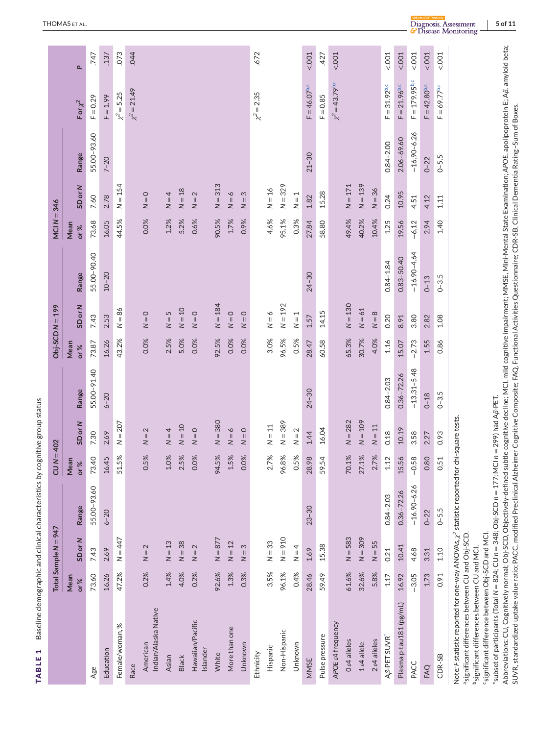<span id="page-4-0"></span>

|                                                                                                                                                                                                                                                                                                                                                                                                                                                                                                                                                                                                      |             | Total Sample N = 947               |                 | $CUN = 402$                                 |                         |                 |             | $Obj-SCDN = 199$   |                 | MCI $N = 346$ |                         |                 |                            |                |
|------------------------------------------------------------------------------------------------------------------------------------------------------------------------------------------------------------------------------------------------------------------------------------------------------------------------------------------------------------------------------------------------------------------------------------------------------------------------------------------------------------------------------------------------------------------------------------------------------|-------------|------------------------------------|-----------------|---------------------------------------------|-------------------------|-----------------|-------------|--------------------|-----------------|---------------|-------------------------|-----------------|----------------------------|----------------|
|                                                                                                                                                                                                                                                                                                                                                                                                                                                                                                                                                                                                      | Mean<br>or% | SD or N                            | Range           | $\mathbf{r}$<br>Mea<br>or%                  | SD or N                 | Range           | Mean<br>or% | SD or N            | Range           | Mean<br>or%   | SD or N                 | Range           | $For x^2$                  | $\overline{a}$ |
| Age                                                                                                                                                                                                                                                                                                                                                                                                                                                                                                                                                                                                  | 73.60       | 7.43                               | 55.00-93.60     | 73.40                                       | 7.30                    | 55.00-91.40     | 73.87       | 7.43               | 55.00-90.40     | 73.68         | 7.60                    | 55.00-93.60     | $F = 0.29$                 | 747            |
| Education                                                                                                                                                                                                                                                                                                                                                                                                                                                                                                                                                                                            | 16.26       | 2.69                               | $6 - 20$        | rù<br>16.4                                  | 2.69                    | $6 - 20$        | 16.26       | 2.53               | $10 - 20$       | 16.05         | 2.78                    | $7 - 20$        | $F = 1.99$                 | .137           |
| Female/woman, %                                                                                                                                                                                                                                                                                                                                                                                                                                                                                                                                                                                      | 47.2%       | $N = 447$                          |                 | $\geq$<br>51.5                              | $N = 207$               |                 | 43.2%       | $N = 86$           |                 | 44.5%         | $N = 154$               |                 | $\chi^2 = 5.25$            | 073            |
| Race                                                                                                                                                                                                                                                                                                                                                                                                                                                                                                                                                                                                 |             |                                    |                 |                                             |                         |                 |             |                    |                 |               |                         |                 | $\chi^2 = 21.49$           | .044           |
| Indian/Alaska Native<br>American                                                                                                                                                                                                                                                                                                                                                                                                                                                                                                                                                                     | 0.2%        | $\mathbf 2$<br>$\frac{1}{2}$       |                 | X<br>0.5                                    | $= 2$<br>$\geq$         |                 | 0.0%        | $N = 0$            |                 | 0.0%          | $N = 0$                 |                 |                            |                |
| Asian                                                                                                                                                                                                                                                                                                                                                                                                                                                                                                                                                                                                | 1.4%        | $N = 13$                           |                 | $\frac{5}{6}$<br>10                         | $= 4$<br>$\overline{z}$ |                 | 2.5%        | 5<br>$\frac{1}{2}$ |                 | 1.2%          | $N = 4$                 |                 |                            |                |
| <b>Black</b>                                                                                                                                                                                                                                                                                                                                                                                                                                                                                                                                                                                         | 4.0%        | $N = 38$                           |                 | $\frac{5}{2}$<br>2.5                        | $N = 10$                |                 | 5.0%        | $N=10$             |                 | 5.2%          | $N = 18$                |                 |                            |                |
| Hawaiian/Pacific<br>Islander                                                                                                                                                                                                                                                                                                                                                                                                                                                                                                                                                                         | 0.2%        | $\mathbf{\Omega}$<br>$\frac{1}{2}$ |                 | 0.0%                                        | $N = 0$                 |                 | 0.0%        | $N = 0$            |                 | 0.6%          | $\sim$<br>$\frac{1}{2}$ |                 |                            |                |
| White                                                                                                                                                                                                                                                                                                                                                                                                                                                                                                                                                                                                | 92.6%       | $N = 877$                          |                 | $\geqslant$<br>94.5                         | $N = 380$               |                 | 92.5%       | $N = 184$          |                 | 90.5%         | $N = 313$               |                 |                            |                |
| More than one                                                                                                                                                                                                                                                                                                                                                                                                                                                                                                                                                                                        | 1.3%        | $N = 12$                           |                 | $\aleph$<br>1.5                             | $N = 6$                 |                 | 0.0%        | $N = 0$            |                 | 1.7%          | $N = 6$                 |                 |                            |                |
| Unknown                                                                                                                                                                                                                                                                                                                                                                                                                                                                                                                                                                                              | 0.3%        | 3<br>$\frac{1}{2}$                 |                 | 0.0%                                        | $N = 0$                 |                 | 0.0%        | $N = 0$            |                 | 0.9%          | S<br>$\frac{1}{2}$      |                 |                            |                |
| Ethnicity                                                                                                                                                                                                                                                                                                                                                                                                                                                                                                                                                                                            |             |                                    |                 |                                             |                         |                 |             |                    |                 |               |                         |                 | $\chi^2 = 2.35$            | .672           |
| Hispanic                                                                                                                                                                                                                                                                                                                                                                                                                                                                                                                                                                                             | 3.5%        | $N = 33$                           |                 | $\geqslant$<br>2.7                          | $N = 11$                |                 | 3.0%        | $N = 6$            |                 | 4.6%          | $N = 16$                |                 |                            |                |
| Non-Hispanic                                                                                                                                                                                                                                                                                                                                                                                                                                                                                                                                                                                         | 96.1%       | $N = 910$                          |                 | ॐ<br>96.8                                   | $N = 389$               |                 | 96.5%       | $N = 192$          |                 | 95.1%         | $N = 329$               |                 |                            |                |
| Unknown                                                                                                                                                                                                                                                                                                                                                                                                                                                                                                                                                                                              | 0.4%        | $N = 4$                            |                 | $\geqslant$<br>0.5                          | $N = 2$                 |                 | 0.5%        | $N = 1$            |                 | 0.3%          | $N = 1$                 |                 |                            |                |
| MMSE                                                                                                                                                                                                                                                                                                                                                                                                                                                                                                                                                                                                 | 28.46       | 1.69                               | $23 - 30$       | $\tilde{\infty}$<br>28.9                    | 1.44                    | $24 - 30$       | 28.47       | 1.57               | $24 - 30$       | 27.84         | $1.82$                  | $21 - 30$       | $F = 46.07$ <sub>b.c</sub> | < .001         |
| Pulse pressure                                                                                                                                                                                                                                                                                                                                                                                                                                                                                                                                                                                       | 59.49       | 15.38                              |                 | 4<br>59.5                                   | 16.04                   |                 | 60.58       | 14.15              |                 | 58.80         | 15.28                   |                 | $F = 0.85$                 | 427            |
| APOE & frequency                                                                                                                                                                                                                                                                                                                                                                                                                                                                                                                                                                                     |             |                                    |                 |                                             |                         |                 |             |                    |                 |               |                         |                 | $\chi^2 = 43.79^{b,c}$     | 5001           |
| O <sub>c</sub> 4 alleles                                                                                                                                                                                                                                                                                                                                                                                                                                                                                                                                                                             | 61.6%       | $N = 583$                          |                 | $\approx$<br>70.1                           | $N = 282$               |                 | 65.3%       | $N = 130$          |                 | 49.4%         | $N = 171$               |                 |                            |                |
| $1\varepsilon4$ allele                                                                                                                                                                                                                                                                                                                                                                                                                                                                                                                                                                               | 32.6%       | $N = 309$                          |                 | $\frac{8}{3}$<br>27.1                       | $N = 109$               |                 | 30.7%       | $N = 61$           |                 | 40.2%         | $N = 139$               |                 |                            |                |
| 2 c4 alleles                                                                                                                                                                                                                                                                                                                                                                                                                                                                                                                                                                                         | 5.8%        | $N = 55$                           |                 | 2.7%                                        | $N = 11$                |                 | 4.0%        | $N = 8$            |                 | 10.4%         | $N = 36$                |                 |                            |                |
| A <sub>ß</sub> -PET SUVR                                                                                                                                                                                                                                                                                                                                                                                                                                                                                                                                                                             | 1.17        | 0.21                               | $0.84 - 2.03$   | $\mathbf{N}$<br>$\Xi$                       | 0.18                    | $0.84 - 2.03$   | 1.16        | 0.20               | $0.84 - 1.84$   | 1.25          | 0.24                    | $0.84 - 2.00$   | $F = 31.92$ <sub>b,c</sub> | 5001           |
| Plasma p-tau181 (pg/mL)                                                                                                                                                                                                                                                                                                                                                                                                                                                                                                                                                                              | 16.92       | 10.41                              | $0.36 - 72.26$  | $\tilde{\mathbf{e}}$<br>15.5                | 10.19                   | $0.36 - 72.26$  | 15.07       | 8.91               | $0.83 - 50.40$  | 19.56         | 10.95                   | 2.06-69.60      | $F = 21.96^{b.c}$          | 5001           |
| PACC                                                                                                                                                                                                                                                                                                                                                                                                                                                                                                                                                                                                 | $-3.05$     | 4.68                               | $-16.90 - 6.26$ | $-0.58$                                     | 3.58                    | $-13.31 - 5.48$ | $-2.73$     | 3.80               | $-16.90 - 4.64$ | $-6.12$       | 4.51                    | $-16.90 - 6.26$ | $F = 179.95^{b,c}$         | 5001           |
| FAQ                                                                                                                                                                                                                                                                                                                                                                                                                                                                                                                                                                                                  | 1.73        | 3.31                               | $0 - 22$        | 0.80                                        | 2.27                    | $0 - 18$        | 1.55        | 2.82               | $0 - 13$        | 2.94          | 4.12                    | $0 - 22$        | $F = 42.80^{b,c}$          | < .001         |
| CDR-SB                                                                                                                                                                                                                                                                                                                                                                                                                                                                                                                                                                                               | 0.91        | 1.10                               | $0 - 5.5$       | $\overline{\mathbf{r}}$<br>$\overline{0.5}$ | 0.93                    | $0 - 3.5$       | 0.86        | 1.08               | $0 - 3.5$       | 1.40          | 1.11                    | $0 - 5.5$       | $F = 69.77^{b.c}$          | 5001           |
| Abbreviations: CU, Cognitively normal; Obj-SCD, Objectively-defined subtle cognitive decline; MCI, mild cognitive impairment; MMSE, Mini-Mental State Examination; APOE, apolipoprotein E; Aβ, amyloid beta;<br>'subset of participants (Total N = 824; CU $n = 348$ ; Obj-SCD $n = 177$ ; MCl $n = 299$ ) had A $\beta$ -PET.<br>Note: F statistic reported for one-way ANOVAs, $\chi^2$ statistic reported for chi-square tests<br>'significant difference between Obj-SCD and MCI.<br>asignificant differences between CU and Obj-SCD<br><sup>b</sup> significant differences between CU and MCI. |             |                                    |                 |                                             |                         |                 |             |                    |                 |               |                         |                 |                            |                |
| SUVR, standardized uptake value ratio; PACC, modified Preclinical Alzheimer Cognitive Composite; FAQ, Functional Activities Questionnaire; CDR-SB, Clinical Dementia Rating-Sum of Boxes.                                                                                                                                                                                                                                                                                                                                                                                                            |             |                                    |                 |                                             |                         |                 |             |                    |                 |               |                         |                 |                            |                |

**TABLE 1** Baseline demographic and clinical characteristics by cognitive group status

TABLE 1 Baseline demographic and clinical characteristics by cognitive group status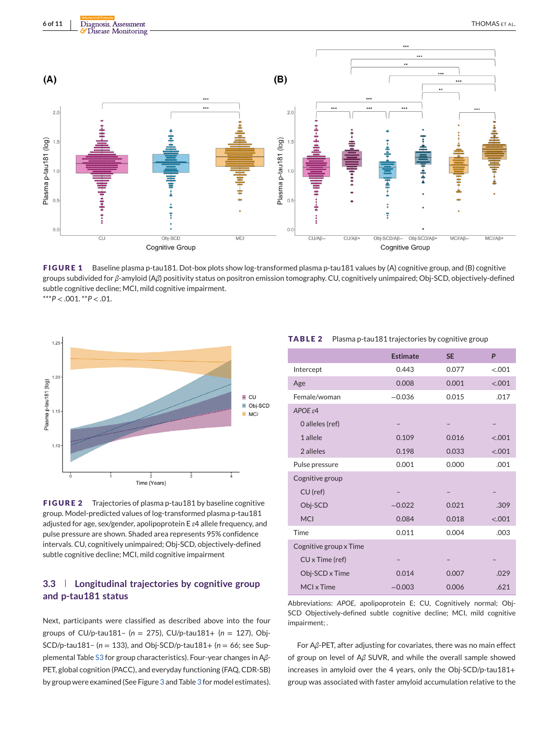<span id="page-5-0"></span>

**FIGURE 1** Baseline plasma p-tau181. Dot-box plots show log-transformed plasma p-tau181 values by (A) cognitive group, and (B) cognitive groups subdivided for *β*-amyloid (A*β*) positivity status on positron emission tomography. CU, cognitively unimpaired; Obj-SCD, objectively-defined subtle cognitive decline; MCI, mild cognitive impairment.  $***P < .001.$ <sup>\*\*</sup> $P < .01.$ 



**FIGURE 2** Trajectories of plasma p-tau181 by baseline cognitive group. Model-predicted values of log-transformed plasma p-tau181 adjusted for age, sex/gender, apolipoprotein E *ε*4 allele frequency, and pulse pressure are shown. Shaded area represents 95% confidence intervals. CU, cognitively unimpaired; Obj-SCD, objectively-defined subtle cognitive decline; MCI, mild cognitive impairment

# **3.3 Longitudinal trajectories by cognitive group and p-tau181 status**

Next, participants were classified as described above into the four groups of CU/p-tau181– (*n* = 275), CU/p-tau181+ (*n* = 127), Obj-SCD/p-tau181– (*n* = 133), and Obj-SCD/p-tau181+ (*n* = 66; see Supplemental Table S3 for group characteristics). Four-year changes in A*β*-PET, global cognition (PACC), and everyday functioning (FAQ, CDR-SB) by group were examined (See Figure [3](#page-6-0) and Table [3](#page-7-0) for model estimates).

#### **TABLE 2** Plasma p-tau181 trajectories by cognitive group

|                        | <b>Estimate</b> | <b>SE</b> | P       |
|------------------------|-----------------|-----------|---------|
| Intercept              | 0.443           | 0.077     | < 0.001 |
| Age                    | 0.008           | 0.001     | < .001  |
| Female/woman           | $-0.036$        | 0.015     | .017    |
| $APOE \varepsilon 4$   |                 |           |         |
| 0 alleles (ref)        |                 |           |         |
| 1 allele               | 0.109           | 0.016     | < .001  |
| 2 alleles              | 0.198           | 0.033     | < .001  |
| Pulse pressure         | 0.001           | 0.000     | .001    |
| Cognitive group        |                 |           |         |
| $CU$ (ref)             |                 |           |         |
| Obj-SCD                | $-0.022$        | 0.021     | .309    |
| <b>MCI</b>             | 0.084           | 0.018     | < .001  |
| Time                   | 0.011           | 0.004     | .003    |
| Cognitive group x Time |                 |           |         |
| CU x Time (ref)        |                 |           |         |
| Obj-SCD x Time         | 0.014           | 0.007     | .029    |
| MCI x Time             | $-0.003$        | 0.006     | .621    |

Abbreviations: *APOE*, apolipoprotein E; CU, Cognitively normal; Obj-SCD Objectively-defined subtle cognitive decline; MCI, mild cognitive impairment; .

For A*β*-PET, after adjusting for covariates, there was no main effect of group on level of A*β* SUVR, and while the overall sample showed increases in amyloid over the 4 years, only the Obj-SCD/p-tau181+ group was associated with faster amyloid accumulation relative to the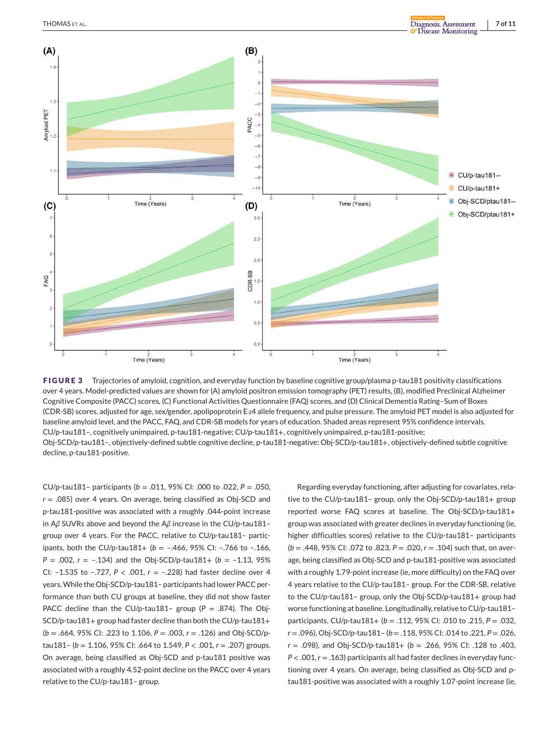<span id="page-6-0"></span>

**FIGURE 3** Trajectories of amyloid, cognition, and everyday function by baseline cognitive group/plasma p-tau181 positivity classifications over 4 years. Model-predicted values are shown for (A) amyloid positron emission tomography (PET) results, (B), modified Preclinical Alzheimer Cognitive Composite (PACC) scores, (C) Functional Activities Questionnaire (FAQ) scores, and (D) Clinical Dementia Rating–Sum of Boxes (CDR-SB) scores, adjusted for age, sex/gender, apolipoprotein E *ε*4 allele frequency, and pulse pressure. The amyloid PET model is also adjusted for baseline amyloid level, and the PACC, FAQ, and CDR-SB models for years of education. Shaded areas represent 95% confidence intervals. CU/p-tau181–, cognitively unimpaired, p-tau181-negative; CU/p-tau181+, cognitively unimpaired, p-tau181-positive; Obj-SCD/p-tau181–, objectively-defined subtle cognitive decline, p-tau181-negative; Obj-SCD/p-tau181+, objectively-defined subtle cognitive decline, p-tau181-positive.

CU/p-tau181– participants (*b* = .011, 95% CI: .000 to .022, *P* = .050, *r* = .085) over 4 years. On average, being classified as Obj-SCD and p-tau181-positive was associated with a roughly .044-point increase in A*β* SUVRs above and beyond the A*β* increase in the CU/p-tau181– group over 4 years. For the PACC, relative to CU/p-tau181– participants, both the CU/p-tau181+ ( $b = -0.466$ , 95% CI:  $-0.766$  to  $-0.166$ ,  $P = .002$ ,  $r = -.134$ ) and the Obj-SCD/p-tau181+ ( $b = -1.13$ , 95%) CI: –1.535 to –.727, *P* < .001, *r* = –.228) had faster decline over 4 years.While the Obj-SCD/p-tau181– participants had lower PACC performance than both CU groups at baseline, they did not show faster PACC decline than the CU/p-tau181- group ( $P = .874$ ). The Obj-SCD/p-tau181+ group had faster decline than both the CU/p-tau181+ (*b* = .664, 95% CI: .223 to 1.106, *P* = .003, *r* = .126) and Obj-SCD/ptau181– (*b* = 1.106, 95% CI: .664 to 1.549, *P* < .001, *r* = .207) groups. On average, being classified as Obj-SCD and p-tau181 positive was associated with a roughly 4.52-point decline on the PACC over 4 years relative to the CU/p-tau181– group.

Regarding everyday functioning, after adjusting for covariates, relative to the CU/p-tau181– group, only the Obj-SCD/p-tau181+ group reported worse FAQ scores at baseline. The Obj-SCD/p-tau181+ group was associated with greater declines in everyday functioning (ie, higher difficulties scores) relative to the CU/p-tau181– participants (*b* = .448, 95% CI: .072 to .823, *P* = .020, *r* = .104) such that, on average, being classified as Obj-SCD and p-tau181-positive was associated with a roughly 1.79-point increase (ie, more difficulty) on the FAQ over 4 years relative to the CU/p-tau181– group. For the CDR-SB, relative to the CU/p-tau181– group, only the Obj-SCD/p-tau181+ group had worse functioning at baseline. Longitudinally, relative to CU/p-tau181– participants, CU/p-tau181+ (*b* = .112, 95% CI: .010 to .215, *P* = .032, *r* = .096), Obj-SCD/p-tau181– (*b* = .118, 95% CI: .014 to .221, *P* = .026, *r* = .098), and Obj-SCD/p-tau181+ (*b* = .266, 95% CI: .128 to .403, *P* < .001, *r* = .163) participants all had faster declines in everyday functioning over 4 years. On average, being classified as Obj-SCD and ptau181-positive was associated with a roughly 1.07-point increase (ie,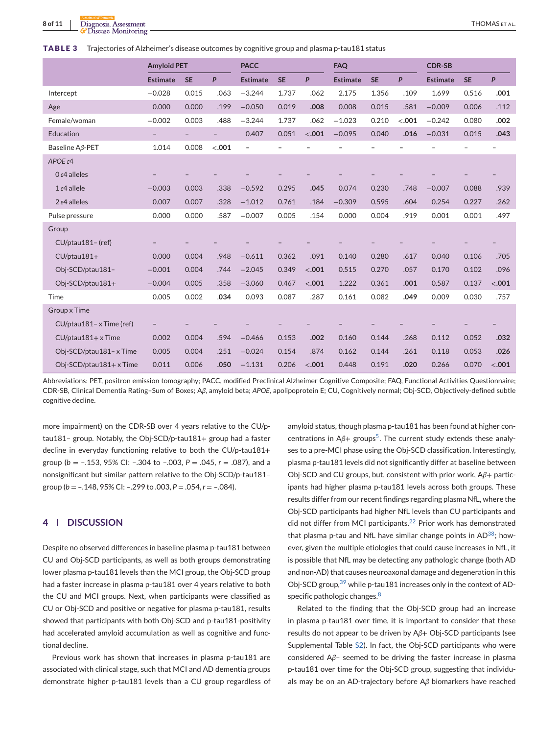#### <span id="page-7-0"></span>**TABLE 3** Trajectories of Alzheimer's disease outcomes by cognitive group and plasma p-tau181 status

|                                | <b>Amyloid PET</b> |                          |                          | <b>PACC</b>       |                          |         | <b>FAQ</b>      |           |        | <b>CDR-SB</b>   |           |        |
|--------------------------------|--------------------|--------------------------|--------------------------|-------------------|--------------------------|---------|-----------------|-----------|--------|-----------------|-----------|--------|
|                                | <b>Estimate</b>    | <b>SE</b>                | P                        | <b>Estimate</b>   | <b>SE</b>                | P       | <b>Estimate</b> | <b>SE</b> | P      | <b>Estimate</b> | <b>SE</b> | P      |
| Intercept                      | $-0.028$           | 0.015                    | .063                     | $-3.244$          | 1.737                    | .062    | 2.175           | 1.356     | .109   | 1.699           | 0.516     | .001   |
| Age                            | 0.000              | 0.000                    | .199                     | $-0.050$          | 0.019                    | .008    | 0.008           | 0.015     | .581   | $-0.009$        | 0.006     | .112   |
| Female/woman                   | $-0.002$           | 0.003                    | .488                     | $-3.244$          | 1.737                    | .062    | $-1.023$        | 0.210     | < .001 | $-0.242$        | 0.080     | .002   |
| Education                      | $\qquad \qquad -$  | $\overline{\phantom{a}}$ | $\overline{\phantom{a}}$ | 0.407             | 0.051                    | < .001  | $-0.095$        | 0.040     | .016   | $-0.031$        | 0.015     | .043   |
| Baseline A <sub>B</sub> -PET   | 1.014              | 0.008                    | < .001                   | $\qquad \qquad -$ | $\overline{\phantom{0}}$ |         |                 |           |        |                 |           |        |
| $APOE \varepsilon 4$           |                    |                          |                          |                   |                          |         |                 |           |        |                 |           |        |
| $0 \epsilon 4$ alleles         |                    |                          |                          |                   |                          |         |                 |           |        |                 |           |        |
| $1 \epsilon 4$ allele          | $-0.003$           | 0.003                    | .338                     | $-0.592$          | 0.295                    | .045    | 0.074           | 0.230     | .748   | $-0.007$        | 0.088     | .939   |
| $2 \epsilon 4$ alleles         | 0.007              | 0.007                    | .328                     | $-1.012$          | 0.761                    | .184    | $-0.309$        | 0.595     | .604   | 0.254           | 0.227     | .262   |
| Pulse pressure                 | 0.000              | 0.000                    | .587                     | $-0.007$          | 0.005                    | .154    | 0.000           | 0.004     | .919   | 0.001           | 0.001     | .497   |
| Group                          |                    |                          |                          |                   |                          |         |                 |           |        |                 |           |        |
| CU/ptau181- (ref)              |                    |                          |                          |                   |                          |         |                 |           |        |                 |           |        |
| $CU/ptau181+$                  | 0.000              | 0.004                    | .948                     | $-0.611$          | 0.362                    | .091    | 0.140           | 0.280     | .617   | 0.040           | 0.106     | .705   |
| Obj-SCD/ptau181-               | $-0.001$           | 0.004                    | .744                     | $-2.045$          | 0.349                    | < .001  | 0.515           | 0.270     | .057   | 0.170           | 0.102     | .096   |
| Obj-SCD/ptau181+               | $-0.004$           | 0.005                    | .358                     | $-3.060$          | 0.467                    | < .001  | 1.222           | 0.361     | .001   | 0.587           | 0.137     | < .001 |
| Time                           | 0.005              | 0.002                    | .034                     | 0.093             | 0.087                    | .287    | 0.161           | 0.082     | .049   | 0.009           | 0.030     | .757   |
| Group x Time                   |                    |                          |                          |                   |                          |         |                 |           |        |                 |           |        |
| CU/ptau181-xTime (ref)         |                    |                          |                          |                   |                          |         |                 |           |        |                 |           |        |
| $CU/ptau181+x$ Time            | 0.002              | 0.004                    | .594                     | $-0.466$          | 0.153                    | .002    | 0.160           | 0.144     | .268   | 0.112           | 0.052     | .032   |
| Obj-SCD/ptau181- x Time        | 0.005              | 0.004                    | .251                     | $-0.024$          | 0.154                    | .874    | 0.162           | 0.144     | .261   | 0.118           | 0.053     | .026   |
| Obj-SCD/ptau181+ $\times$ Time | 0.011              | 0.006                    | .050                     | $-1.131$          | 0.206                    | $-.001$ | 0.448           | 0.191     | .020   | 0.266           | 0.070     | < .001 |

Abbreviations: PET, positron emission tomography; PACC, modified Preclinical Alzheimer Cognitive Composite; FAQ, Functional Activities Questionnaire; CDR-SB, Clinical Dementia Rating–Sum of Boxes; A*β*, amyloid beta; *APOE*, apolipoprotein E; CU, Cognitively normal; Obj-SCD, Objectively-defined subtle cognitive decline.

more impairment) on the CDR-SB over 4 years relative to the CU/ptau181– group. Notably, the Obj-SCD/p-tau181+ group had a faster decline in everyday functioning relative to both the CU/p-tau181+ group (*b* = –.153, 95% CI: –.304 to –.003, *P* = .045, *r* = .087), and a nonsignificant but similar pattern relative to the Obj-SCD/p-tau181– group (*b* = –.148, 95% CI: –.299 to .003, *P* = .054, *r* = –.084).

# **4 DISCUSSION**

Despite no observed differences in baseline plasma p-tau181 between CU and Obj-SCD participants, as well as both groups demonstrating lower plasma p-tau181 levels than the MCI group, the Obj-SCD group had a faster increase in plasma p-tau181 over 4 years relative to both the CU and MCI groups. Next, when participants were classified as CU or Obj-SCD and positive or negative for plasma p-tau181, results showed that participants with both Obj-SCD and p-tau181-positivity had accelerated amyloid accumulation as well as cognitive and functional decline.

Previous work has shown that increases in plasma p-tau181 are associated with clinical stage, such that MCI and AD dementia groups demonstrate higher p-tau181 levels than a CU group regardless of

amyloid status, though plasma p-tau181 has been found at higher concentrations in Aβ+ groups<sup>5</sup>. The current study extends these analyses to a pre-MCI phase using the Obj-SCD classification. Interestingly, plasma p-tau181 levels did not significantly differ at baseline between Obj-SCD and CU groups, but, consistent with prior work, A*β*+ participants had higher plasma p-tau181 levels across both groups. These results differ from our recent findings regarding plasma NfL, where the Obj-SCD participants had higher NfL levels than CU participants and did not differ from MCI participants.<sup>[22](#page-9-0)</sup> Prior work has demonstrated that plasma p-tau and NfL have similar change points in  $AD^{38}$ ; however, given the multiple etiologies that could cause increases in NfL, it is possible that NfL may be detecting any pathologic change (both AD and non-AD) that causes neuroaxonal damage and degeneration in this Obj-SCD group,<sup>[39](#page-10-0)</sup> while p-tau181 increases only in the context of AD-specific pathologic changes.<sup>[8](#page-9-0)</sup>

Related to the finding that the Obj-SCD group had an increase in plasma p-tau181 over time, it is important to consider that these results do not appear to be driven by A*β*+ Obj-SCD participants (see Supplemental Table S2). In fact, the Obj-SCD participants who were considered A*β*– seemed to be driving the faster increase in plasma p-tau181 over time for the Obj-SCD group, suggesting that individuals may be on an AD-trajectory before A*β* biomarkers have reached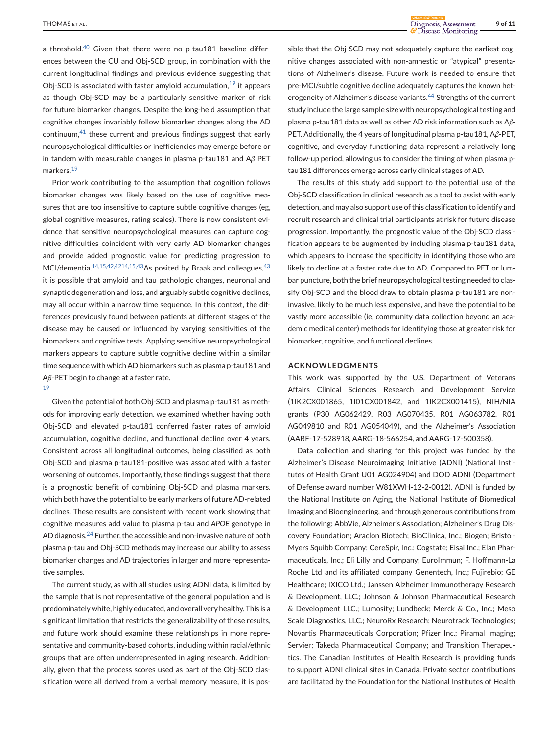a threshold.<sup>[40](#page-10-0)</sup> Given that there were no p-tau181 baseline differences between the CU and Obj-SCD group, in combination with the current longitudinal findings and previous evidence suggesting that Obj-SCD is associated with faster amyloid accumulation, $19$  it appears as though Obj-SCD may be a particularly sensitive marker of risk for future biomarker changes. Despite the long-held assumption that cognitive changes invariably follow biomarker changes along the AD continuum, $41$  these current and previous findings suggest that early neuropsychological difficulties or inefficiencies may emerge before or in tandem with measurable changes in plasma p-tau181 and A*β* PET markers.<sup>[19](#page-9-0)</sup>

Prior work contributing to the assumption that cognition follows biomarker changes was likely based on the use of cognitive measures that are too insensitive to capture subtle cognitive changes (eg, global cognitive measures, rating scales). There is now consistent evidence that sensitive neuropsychological measures can capture cognitive difficulties coincident with very early AD biomarker changes and provide added prognostic value for predicting progression to MCI/dementia.<sup>14,15,42,4214,15[,43](#page-10-0)</sup>As posited by Braak and colleagues,<sup>43</sup> it is possible that amyloid and tau pathologic changes, neuronal and synaptic degeneration and loss, and arguably subtle cognitive declines, may all occur within a narrow time sequence. In this context, the differences previously found between patients at different stages of the disease may be caused or influenced by varying sensitivities of the biomarkers and cognitive tests. Applying sensitive neuropsychological markers appears to capture subtle cognitive decline within a similar time sequence with which AD biomarkers such as plasma p-tau181 and A*β*-PET begin to change at a faster rate.

#### [19](#page-9-0)

Given the potential of both Obj-SCD and plasma p-tau181 as methods for improving early detection, we examined whether having both Obj-SCD and elevated p-tau181 conferred faster rates of amyloid accumulation, cognitive decline, and functional decline over 4 years. Consistent across all longitudinal outcomes, being classified as both Obj-SCD and plasma p-tau181-positive was associated with a faster worsening of outcomes. Importantly, these findings suggest that there is a prognostic benefit of combining Obj-SCD and plasma markers, which both have the potential to be early markers of future AD-related declines. These results are consistent with recent work showing that cognitive measures add value to plasma p-tau and *APOE* genotype in AD diagnosis. $^{24}$  $^{24}$  $^{24}$  Further, the accessible and non-invasive nature of both plasma p-tau and Obj-SCD methods may increase our ability to assess biomarker changes and AD trajectories in larger and more representative samples.

The current study, as with all studies using ADNI data, is limited by the sample that is not representative of the general population and is predominately white, highly educated, and overall very healthy. This is a significant limitation that restricts the generalizability of these results, and future work should examine these relationships in more representative and community-based cohorts, including within racial/ethnic groups that are often underrepresented in aging research. Additionally, given that the process scores used as part of the Obj-SCD classification were all derived from a verbal memory measure, it is possible that the Obj-SCD may not adequately capture the earliest cognitive changes associated with non-amnestic or "atypical" presentations of Alzheimer's disease. Future work is needed to ensure that pre-MCI/subtle cognitive decline adequately captures the known het-erogeneity of Alzheimer's disease variants.<sup>[44](#page-10-0)</sup> Strengths of the current study include the large sample size with neuropsychological testing and plasma p-tau181 data as well as other AD risk information such as A*β*-PET. Additionally, the 4 years of longitudinal plasma p-tau181, A*β*-PET, cognitive, and everyday functioning data represent a relatively long follow-up period, allowing us to consider the timing of when plasma ptau181 differences emerge across early clinical stages of AD.

The results of this study add support to the potential use of the Obj-SCD classification in clinical research as a tool to assist with early detection, and may also support use of this classification to identify and recruit research and clinical trial participants at risk for future disease progression. Importantly, the prognostic value of the Obj-SCD classification appears to be augmented by including plasma p-tau181 data, which appears to increase the specificity in identifying those who are likely to decline at a faster rate due to AD. Compared to PET or lumbar puncture, both the brief neuropsychological testing needed to classify Obj-SCD and the blood draw to obtain plasma p-tau181 are noninvasive, likely to be much less expensive, and have the potential to be vastly more accessible (ie, community data collection beyond an academic medical center) methods for identifying those at greater risk for biomarker, cognitive, and functional declines.

#### **ACKNOWLEDGMENTS**

This work was supported by the U.S. Department of Veterans Affairs Clinical Sciences Research and Development Service (1IK2CX001865, 1I01CX001842, and 1IK2CX001415), NIH/NIA grants (P30 AG062429, R03 AG070435, R01 AG063782, R01 AG049810 and R01 AG054049), and the Alzheimer's Association (AARF-17-528918, AARG-18-566254, and AARG-17-500358).

Data collection and sharing for this project was funded by the Alzheimer's Disease Neuroimaging Initiative (ADNI) (National Institutes of Health Grant U01 AG024904) and DOD ADNI (Department of Defense award number W81XWH-12-2-0012). ADNI is funded by the National Institute on Aging, the National Institute of Biomedical Imaging and Bioengineering, and through generous contributions from the following: AbbVie, Alzheimer's Association; Alzheimer's Drug Discovery Foundation; Araclon Biotech; BioClinica, Inc.; Biogen; Bristol-Myers Squibb Company; CereSpir, Inc.; Cogstate; Eisai Inc.; Elan Pharmaceuticals, Inc.; Eli Lilly and Company; EuroImmun; F. Hoffmann-La Roche Ltd and its affiliated company Genentech, Inc.; Fujirebio; GE Healthcare; IXICO Ltd.; Janssen Alzheimer Immunotherapy Research & Development, LLC.; Johnson & Johnson Pharmaceutical Research & Development LLC.; Lumosity; Lundbeck; Merck & Co., Inc.; Meso Scale Diagnostics, LLC.; NeuroRx Research; Neurotrack Technologies; Novartis Pharmaceuticals Corporation; Pfizer Inc.; Piramal Imaging; Servier; Takeda Pharmaceutical Company; and Transition Therapeutics. The Canadian Institutes of Health Research is providing funds to support ADNI clinical sites in Canada. Private sector contributions are facilitated by the Foundation for the National Institutes of Health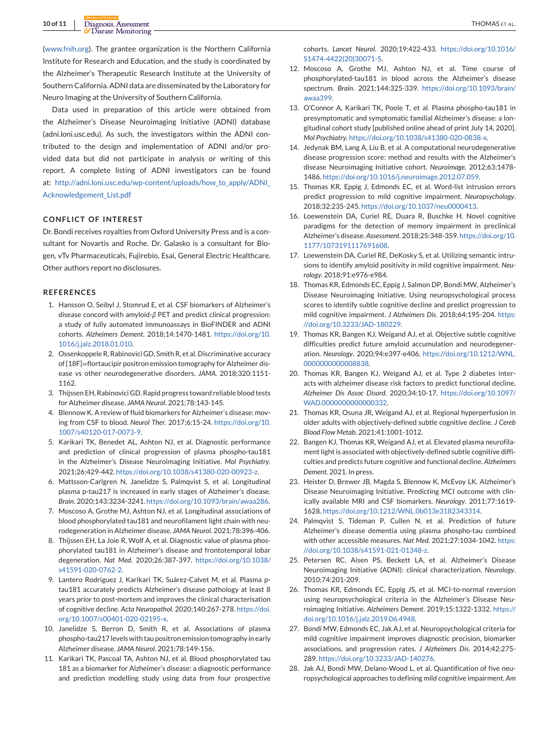<span id="page-9-0"></span>[\(www.fnih.org\)](http://www.fnih.org). The grantee organization is the Northern California Institute for Research and Education, and the study is coordinated by the Alzheimer's Therapeutic Research Institute at the University of Southern California. ADNI data are disseminated by the Laboratory for Neuro Imaging at the University of Southern California.

Data used in preparation of this article were obtained from the Alzheimer's Disease Neuroimaging Initiative (ADNI) database (adni.loni.usc.edu). As such, the investigators within the ADNI contributed to the design and implementation of ADNI and/or provided data but did not participate in analysis or writing of this report. A complete listing of ADNI investigators can be found at: [http://adni.loni.usc.edu/wp-content/uploads/how\\_to\\_apply/ADNI\\_](http://adni.loni.usc.edu/wp-content/uploads/how_to_apply/ADNI_Acknowledgement_List.pdf) [Acknowledgement\\_List.pdf](http://adni.loni.usc.edu/wp-content/uploads/how_to_apply/ADNI_Acknowledgement_List.pdf)

#### **CONFLICT OF INTEREST**

Dr. Bondi receives royalties from Oxford University Press and is a consultant for Novartis and Roche. Dr. Galasko is a consultant for Biogen, vTv Pharmaceuticals, Fujirebio, Esai, General Electric Healthcare. Other authors report no disclosures.

#### **REFERENCES**

- 1. Hansson O, Seibyl J, Stomrud E, et al. CSF biomarkers of Alzheimer's disease concord with amyloid-*β* PET and predict clinical progression: a study of fully automated immunoassays in BioFINDER and ADNI cohorts. *Alzheimers Dement*. 2018;14:1470-1481. [https://doi.org/10.](https://doi.org/10.1016/j.jalz.2018.01.010) [1016/j.jalz.2018.01.010.](https://doi.org/10.1016/j.jalz.2018.01.010)
- 2. Ossenkoppele R, Rabinovici GD, Smith R, et al. Discriminative accuracy of [18F]=flortaucipir positron emission tomography for Alzheimer disease vs other neurodegenerative disorders. *JAMA*. 2018;320:1151- 1162.
- 3. Thijssen EH, Rabinovici GD. Rapid progress toward reliable blood tests for Alzheimer disease. *JAMA Neurol*. 2021;78:143-145.
- 4. Blennow K. A review of fluid biomarkers for Alzheimer's disease: moving from CSF to blood. *Neurol Ther*. 2017;6:15-24. [https://doi.org/10.](https://doi.org/10.1007/s40120-017-0073-9) [1007/s40120-017-0073-9.](https://doi.org/10.1007/s40120-017-0073-9)
- 5. Karikari TK, Benedet AL, Ashton NJ, et al. Diagnostic performance and prediction of clinical progression of plasma phospho-tau181 in the Alzheimer's Disease Neuroimaging Initiative. *Mol Psychiatry*. 2021;26:429-442. [https://doi.org/10.1038/s41380-020-00923-z.](https://doi.org/10.1038/s41380-020-00923-z)
- 6. Mattsson-Carlgren N, Janelidze S, Palmqvist S, et al. Longitudinal plasma p-tau217 is increased in early stages of Alzheimer's disease. *Brain*. 2020;143:3234-3241. [https://doi.org/10.1093/brain/awaa286.](https://doi.org/10.1093/brain/awaa286)
- 7. Moscoso A, Grothe MJ, Ashton NJ, et al. Longitudinal associations of blood phosphorylated tau181 and neurofilament light chain with neurodegeneration in Alzheimer disease. *JAMA Neurol*. 2021;78:396-406.
- 8. Thijssen EH, La Joie R, Wolf A, et al. Diagnostic value of plasma phosphorylated tau181 in Alzheimer's disease and frontotemporal lobar degeneration. *Nat Med*. 2020;26:387-397. [https://doi.org/10.1038/](https://doi.org/10.1038/s41591-020-0762-2) [s41591-020-0762-2.](https://doi.org/10.1038/s41591-020-0762-2)
- 9. Lantero Rodriguez J, Karikari TK, Suárez-Calvet M, et al. Plasma ptau181 accurately predicts Alzheimer's disease pathology at least 8 years prior to post-mortem and improves the clinical characterisation of cognitive decline. *Acta Neuropathol*. 2020;140:267-278. [https://doi.](https://doi.org/10.1007/s00401-020-02195-x) [org/10.1007/s00401-020-02195-x.](https://doi.org/10.1007/s00401-020-02195-x)
- 10. Janelidze S, Berron D, Smith R, et al. Associations of plasma phospho-tau217 levels with tau positron emission tomography in early Alzheimer disease. *JAMA Neurol*. 2021;78:149-156.
- 11. Karikari TK, Pascoal TA, Ashton NJ, et al. Blood phosphorylated tau 181 as a biomarker for Alzheimer's disease: a diagnostic performance and prediction modelling study using data from four prospective

cohorts. *Lancet Neurol*. 2020;19:422-433. [https://doi.org/10.1016/](https://doi.org/10.1016/S1474-4422(20)30071-5) [S1474-4422\(20\)30071-5.](https://doi.org/10.1016/S1474-4422(20)30071-5)

- 12. Moscoso A, Grothe MJ, Ashton NJ, et al. Time course of phosphorylated-tau181 in blood across the Alzheimer's disease spectrum. *Brain*. 2021;144:325-339. [https://doi.org/10.1093/brain/](https://doi.org/10.1093/brain/awaa399) [awaa399.](https://doi.org/10.1093/brain/awaa399)
- 13. O'Connor A, Karikari TK, Poole T, et al. Plasma phospho-tau181 in presymptomatic and symptomatic familial Alzheimer's disease: a longitudinal cohort study [published online ahead of print July 14, 2020]. *Mol Psychiatry*. [https://doi.org/10.1038/s41380-020-0838-x.](https://doi.org/10.1038/s41380-020-0838-x)
- 14. Jedynak BM, Lang A, Liu B, et al. A computational neurodegenerative disease progression score: method and results with the Alzheimer's disease Neuroimaging Initiative cohort. *Neuroimage*. 2012;63:1478- 1486. [https://doi.org/10.1016/j.neuroimage.2012.07.059.](https://doi.org/10.1016/j.neuroimage.2012.07.059)
- 15. Thomas KR, Eppig J, Edmonds EC, et al. Word-list intrusion errors predict progression to mild cognitive impairment. *Neuropsychology*. 2018;32:235-245. [https://doi.org/10.1037/neu0000413.](https://doi.org/10.1037/neu0000413)
- 16. Loewenstein DA, Curiel RE, Duara R, Buschke H. Novel cognitive paradigms for the detection of memory impairment in preclinical Alzheimer's disease. *Assessment*. 2018;25:348-359. [https://doi.org/10.](https://doi.org/10.1177/1073191117691608) [1177/1073191117691608.](https://doi.org/10.1177/1073191117691608)
- 17. Loewenstein DA, Curiel RE, DeKosky S, et al. Utilizing semantic intrusions to identify amyloid positivity in mild cognitive impairment. *Neurology*. 2018;91:e976-e984.
- 18. Thomas KR, Edmonds EC, Eppig J, Salmon DP, Bondi MW, Alzheimer's Disease Neuroimaging Initiative. Using neuropsychological process scores to identify subtle cognitive decline and predict progression to mild cognitive impairment. *J Alzheimers Dis*. 2018;64:195-204. [https:](https://doi.org/10.3233/JAD-180229) [//doi.org/10.3233/JAD-180229.](https://doi.org/10.3233/JAD-180229)
- 19. Thomas KR, Bangen KJ, Weigand AJ, et al. Objective subtle cognitive difficulties predict future amyloid accumulation and neurodegeneration. *Neurology*. 2020;94:e397-e406. [https://doi.org/10.1212/WNL.](https://doi.org/10.1212/WNL.0000000000008838) [0000000000008838.](https://doi.org/10.1212/WNL.0000000000008838)
- 20. Thomas KR, Bangen KJ, Weigand AJ, et al. Type 2 diabetes interacts with alzheimer disease risk factors to predict functional decline. *Alzheimer Dis Assoc Disord*. 2020;34:10-17. [https://doi.org/10.1097/](https://doi.org/10.1097/WAD.0000000000000332) WAD.00000000000000332.
- 21. Thomas KR, Osuna JR, Weigand AJ, et al. Regional hyperperfusion in older adults with objectively-defined subtle cognitive decline. *J Cereb Blood Flow Metab*. 2021;41:1001-1012.
- 22. Bangen KJ, Thomas KR, Weigand AJ, et al. Elevated plasma neurofilament light is associated with objectively-defined subtle cognitive difficulties and predicts future cognitive and functional decline. *Alzheimers Dement*. 2021. In press.
- 23. Heister D, Brewer JB, Magda S, Blennow K, McEvoy LK. Alzheimer's Disease Neuroimaging Initiative. Predicting MCI outcome with clinically available MRI and CSF biomarkers. *Neurology*. 2011;77:1619- 1628. [https://doi.org/10.1212/WNL.0b013e3182343314.](https://doi.org/10.1212/WNL.0b013e3182343314)
- 24. Palmqvist S, Tideman P, Cullen N, et al. Prediction of future Alzheimer's disease dementia using plasma phospho-tau combined with other accessible measures. *Nat Med*. 2021;27:1034-1042. [https:](https://doi.org/10.1038/s41591-021-01348-z) [//doi.org/10.1038/s41591-021-01348-z.](https://doi.org/10.1038/s41591-021-01348-z)
- 25. Petersen RC, Aisen PS, Beckett LA, et al. Alzheimer's Disease Neuroimaging Initiative (ADNI): clinical characterization. *Neurology*. 2010;74:201-209.
- 26. Thomas KR, Edmonds EC, Eppig JS, et al. MCI-to-normal reversion using neuropsychological criteria in the Alzheimer's Disease Neuroimaging Initiative. *Alzheimers Dement*. 2019;15:1322-1332. [https://](https://doi.org/10.1016/j.jalz.2019.06.4948) [doi.org/10.1016/j.jalz.2019.06.4948.](https://doi.org/10.1016/j.jalz.2019.06.4948)
- 27. Bondi MW, Edmonds EC, Jak AJ, et al. Neuropsychological criteria for mild cognitive impairment improves diagnostic precision, biomarker associations, and progression rates. *J Alzheimers Dis*. 2014;42:275- 289. [https://doi.org/10.3233/JAD-140276.](https://doi.org/10.3233/JAD-140276)
- 28. Jak AJ, Bondi MW, Delano-Wood L, et al. Quantification of five neuropsychological approaches to defining mild cognitive impairment. *Am*